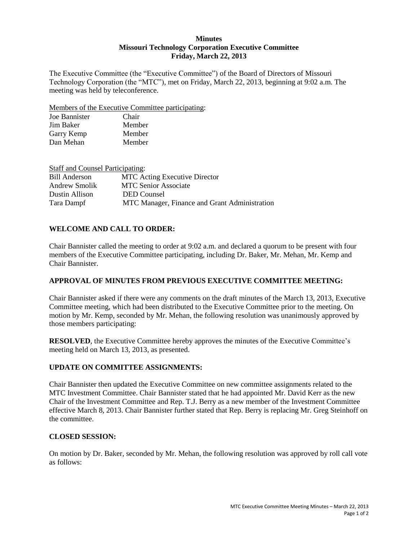### **Minutes Missouri Technology Corporation Executive Committee Friday, March 22, 2013**

The Executive Committee (the "Executive Committee") of the Board of Directors of Missouri Technology Corporation (the "MTC"), met on Friday, March 22, 2013, beginning at 9:02 a.m. The meeting was held by teleconference.

Members of the Executive Committee participating:

| Joe Bannister | Chair  |
|---------------|--------|
| Jim Baker     | Member |
| Garry Kemp    | Member |
| Dan Mehan     | Member |

| <b>Staff and Counsel Participating:</b> |                                               |
|-----------------------------------------|-----------------------------------------------|
| <b>Bill Anderson</b>                    | <b>MTC</b> Acting Executive Director          |
| Andrew Smolik                           | <b>MTC Senior Associate</b>                   |
| Dustin Allison                          | <b>DED</b> Counsel                            |
| Tara Dampf                              | MTC Manager, Finance and Grant Administration |

# **WELCOME AND CALL TO ORDER:**

Chair Bannister called the meeting to order at 9:02 a.m. and declared a quorum to be present with four members of the Executive Committee participating, including Dr. Baker, Mr. Mehan, Mr. Kemp and Chair Bannister.

# **APPROVAL OF MINUTES FROM PREVIOUS EXECUTIVE COMMITTEE MEETING:**

Chair Bannister asked if there were any comments on the draft minutes of the March 13, 2013, Executive Committee meeting, which had been distributed to the Executive Committee prior to the meeting. On motion by Mr. Kemp, seconded by Mr. Mehan, the following resolution was unanimously approved by those members participating:

**RESOLVED**, the Executive Committee hereby approves the minutes of the Executive Committee's meeting held on March 13, 2013, as presented.

# **UPDATE ON COMMITTEE ASSIGNMENTS:**

Chair Bannister then updated the Executive Committee on new committee assignments related to the MTC Investment Committee. Chair Bannister stated that he had appointed Mr. David Kerr as the new Chair of the Investment Committee and Rep. T.J. Berry as a new member of the Investment Committee effective March 8, 2013. Chair Bannister further stated that Rep. Berry is replacing Mr. Greg Steinhoff on the committee.

# **CLOSED SESSION:**

On motion by Dr. Baker, seconded by Mr. Mehan, the following resolution was approved by roll call vote as follows: